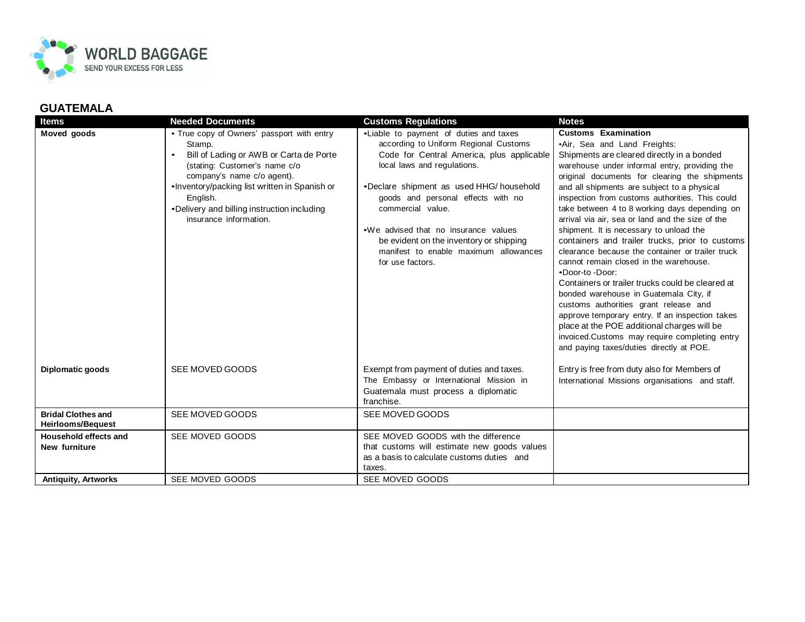

## **GUATEMALA**

| <b>Items</b>                                          | <b>Needed Documents</b>                                                                                                                                                                                                                                                                              | <b>Customs Regulations</b>                                                                                                                                                                                                                                                                                                                                                                                          | <b>Notes</b>                                                                                                                                                                                                                                                                                                                                                                                                                                                                                                                                                                                                                                                                                                                                                                                                                                                                                                                                                          |
|-------------------------------------------------------|------------------------------------------------------------------------------------------------------------------------------------------------------------------------------------------------------------------------------------------------------------------------------------------------------|---------------------------------------------------------------------------------------------------------------------------------------------------------------------------------------------------------------------------------------------------------------------------------------------------------------------------------------------------------------------------------------------------------------------|-----------------------------------------------------------------------------------------------------------------------------------------------------------------------------------------------------------------------------------------------------------------------------------------------------------------------------------------------------------------------------------------------------------------------------------------------------------------------------------------------------------------------------------------------------------------------------------------------------------------------------------------------------------------------------------------------------------------------------------------------------------------------------------------------------------------------------------------------------------------------------------------------------------------------------------------------------------------------|
| Moved goods                                           | • True copy of Owners' passport with entry<br>Stamp.<br>Bill of Lading or AWB or Carta de Porte<br>(stating: Customer's name c/o<br>company's name c/o agent).<br>•Inventory/packing list written in Spanish or<br>English.<br>•Delivery and billing instruction including<br>insurance information. | .Liable to payment of duties and taxes<br>according to Uniform Regional Customs<br>Code for Central America, plus applicable<br>local laws and regulations.<br>•Declare shipment as used HHG/ household<br>goods and personal effects with no<br>commercial value.<br>. We advised that no insurance values<br>be evident on the inventory or shipping<br>manifest to enable maximum allowances<br>for use factors. | <b>Customs Examination</b><br>•Air, Sea and Land Freights:<br>Shipments are cleared directly in a bonded<br>warehouse under informal entry, providing the<br>original documents for clearing the shipments<br>and all shipments are subject to a physical<br>inspection from customs authorities. This could<br>take between 4 to 8 working days depending on<br>arrival via air, sea or land and the size of the<br>shipment. It is necessary to unload the<br>containers and trailer trucks, prior to customs<br>clearance because the container or trailer truck<br>cannot remain closed in the warehouse.<br>•Door-to-Door:<br>Containers or trailer trucks could be cleared at<br>bonded warehouse in Guatemala City, if<br>customs authorities grant release and<br>approve temporary entry. If an inspection takes<br>place at the POE additional charges will be<br>invoiced.Customs may require completing entry<br>and paying taxes/duties directly at POE. |
| Diplomatic goods                                      | SEE MOVED GOODS                                                                                                                                                                                                                                                                                      | Exempt from payment of duties and taxes.<br>The Embassy or International Mission in<br>Guatemala must process a diplomatic<br>franchise.                                                                                                                                                                                                                                                                            | Entry is free from duty also for Members of<br>International Missions organisations and staff.                                                                                                                                                                                                                                                                                                                                                                                                                                                                                                                                                                                                                                                                                                                                                                                                                                                                        |
| <b>Bridal Clothes and</b><br><b>Heirlooms/Bequest</b> | SEE MOVED GOODS                                                                                                                                                                                                                                                                                      | SEE MOVED GOODS                                                                                                                                                                                                                                                                                                                                                                                                     |                                                                                                                                                                                                                                                                                                                                                                                                                                                                                                                                                                                                                                                                                                                                                                                                                                                                                                                                                                       |
| <b>Household effects and</b><br>New furniture         | SEE MOVED GOODS                                                                                                                                                                                                                                                                                      | SEE MOVED GOODS with the difference<br>that customs will estimate new goods values<br>as a basis to calculate customs duties and<br>taxes.                                                                                                                                                                                                                                                                          |                                                                                                                                                                                                                                                                                                                                                                                                                                                                                                                                                                                                                                                                                                                                                                                                                                                                                                                                                                       |
| <b>Antiquity, Artworks</b>                            | SEE MOVED GOODS                                                                                                                                                                                                                                                                                      | SEE MOVED GOODS                                                                                                                                                                                                                                                                                                                                                                                                     |                                                                                                                                                                                                                                                                                                                                                                                                                                                                                                                                                                                                                                                                                                                                                                                                                                                                                                                                                                       |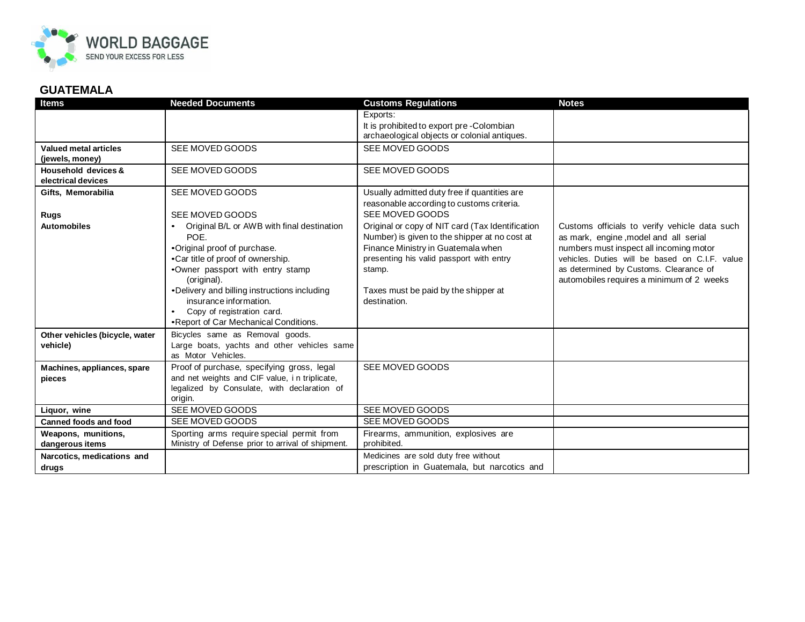

## **GUATEMALA**

| <b>Items</b>                              | <b>Needed Documents</b>                                           | <b>Customs Regulations</b>                                                               | <b>Notes</b>                                   |
|-------------------------------------------|-------------------------------------------------------------------|------------------------------------------------------------------------------------------|------------------------------------------------|
|                                           |                                                                   | Exports:                                                                                 |                                                |
|                                           |                                                                   | It is prohibited to export pre-Colombian<br>archaeological objects or colonial antiques. |                                                |
| <b>Valued metal articles</b>              | SEE MOVED GOODS                                                   | SEE MOVED GOODS                                                                          |                                                |
| (jewels, money)                           |                                                                   |                                                                                          |                                                |
| Household devices &<br>electrical devices | SEE MOVED GOODS                                                   | SEE MOVED GOODS                                                                          |                                                |
| Gifts, Memorabilia                        | SEE MOVED GOODS                                                   | Usually admitted duty free if quantities are                                             |                                                |
|                                           |                                                                   | reasonable according to customs criteria.                                                |                                                |
| Rugs                                      | SEE MOVED GOODS                                                   | SEE MOVED GOODS                                                                          |                                                |
| <b>Automobiles</b>                        | Original B/L or AWB with final destination                        | Original or copy of NIT card (Tax Identification                                         | Customs officials to verify vehicle data such  |
|                                           | POF.                                                              | Number) is given to the shipper at no cost at                                            | as mark, engine, model and all serial          |
|                                           | •Original proof of purchase.                                      | Finance Ministry in Guatemala when                                                       | numbers must inspect all incoming motor        |
|                                           | •Car title of proof of ownership.                                 | presenting his valid passport with entry                                                 | vehicles. Duties will be based on C.I.F. value |
|                                           | .Owner passport with entry stamp                                  | stamp.                                                                                   | as determined by Customs. Clearance of         |
|                                           | (original).                                                       |                                                                                          | automobiles requires a minimum of 2 weeks      |
|                                           | •Delivery and billing instructions including                      | Taxes must be paid by the shipper at                                                     |                                                |
|                                           | insurance information.                                            | destination.                                                                             |                                                |
|                                           | Copy of registration card.<br>٠                                   |                                                                                          |                                                |
|                                           | •Report of Car Mechanical Conditions.                             |                                                                                          |                                                |
| Other vehicles (bicycle, water            | Bicycles same as Removal goods.                                   |                                                                                          |                                                |
| vehicle)                                  | Large boats, yachts and other vehicles same<br>as Motor Vehicles. |                                                                                          |                                                |
| Machines, appliances, spare               | Proof of purchase, specifying gross, legal                        | SEE MOVED GOODS                                                                          |                                                |
| pieces                                    | and net weights and CIF value, in triplicate,                     |                                                                                          |                                                |
|                                           | legalized by Consulate, with declaration of                       |                                                                                          |                                                |
|                                           | origin.                                                           |                                                                                          |                                                |
| Liquor, wine                              | SEE MOVED GOODS                                                   | SEE MOVED GOODS                                                                          |                                                |
| <b>Canned foods and food</b>              | SEE MOVED GOODS                                                   | SEE MOVED GOODS                                                                          |                                                |
| Weapons, munitions,                       | Sporting arms require special permit from                         | Firearms, ammunition, explosives are                                                     |                                                |
| dangerous items                           | Ministry of Defense prior to arrival of shipment.                 | prohibited.                                                                              |                                                |
| Narcotics, medications and                |                                                                   | Medicines are sold duty free without                                                     |                                                |
| drugs                                     |                                                                   | prescription in Guatemala, but narcotics and                                             |                                                |